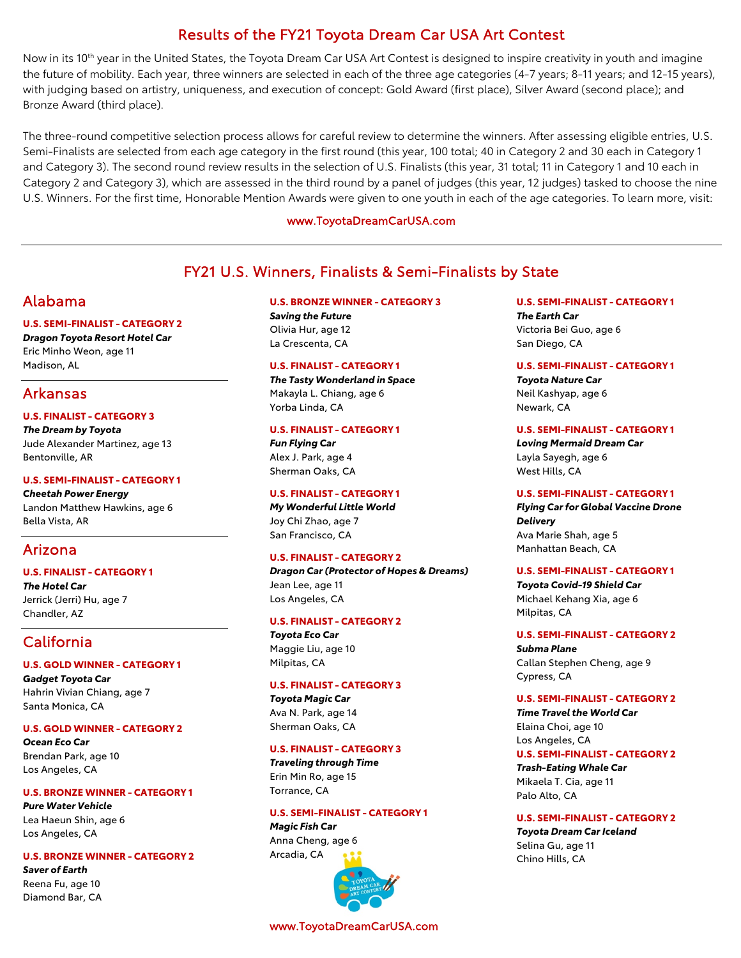# Results of the FY21 Toyota Dream Car USA Art Contest

Now in its 10<sup>th</sup> year in the United States, the Toyota Dream Car USA Art Contest is designed to inspire creativity in youth and imagine the future of mobility. Each year, three winners are selected in each of the three age categories (4-7 years; 8-11 years; and 12-15 years), with judging based on artistry, uniqueness, and execution of concept: Gold Award (first place), Silver Award (second place); and Bronze Award (third place).

The three-round competitive selection process allows for careful review to determine the winners. After assessing eligible entries, U.S. Semi-Finalists are selected from each age category in the first round (this year, 100 total; 40 in Category 2 and 30 each in Category 1 and Category 3). The second round review results in the selection of U.S. Finalists (this year, 31 total; 11 in Category 1 and 10 each in Category 2 and Category 3), which are assessed in the third round by a panel of judges (this year, 12 judges) tasked to choose the nine U.S. Winners. For the first time, Honorable Mention Awards were given to one youth in each of the age categories. To learn more, visit:

### www.ToyotaDreamCarUSA.com

# FY21 U.S. Winners, Finalists & Semi-Finalists by State

# Alabama

## **U.S. SEMI-FINALIST - CATEGORY 2**

*Dragon Toyota Resort Hotel Car* Eric Minho Weon, age 11 Madison, AL

# Arkansas

## **U.S. FINALIST - CATEGORY 3**

*The Dream by Toyota* Jude Alexander Martinez, age 13 Bentonville, AR

### **U.S. SEMI-FINALIST - CATEGORY 1**

*Cheetah Power Energy* Landon Matthew Hawkins, age 6 Bella Vista, AR

# Arizona

### **U.S. FINALIST - CATEGORY 1**

*The Hotel Car* Jerrick (Jerri) Hu, age 7 Chandler, AZ

# California

### **U.S. GOLD WINNER - CATEGORY 1**

*Gadget Toyota Car* Hahrin Vivian Chiang, age 7 Santa Monica, CA

### **U.S. GOLD WINNER - CATEGORY 2**

*Ocean Eco Car* Brendan Park, age 10 Los Angeles, CA

# **U.S. BRONZE WINNER - CATEGORY 1**

*Pure Water Vehicle* Lea Haeun Shin, age 6 Los Angeles, CA

### **U.S. BRONZE WINNER - CATEGORY 2**

*Saver of Earth* Reena Fu, age 10 Diamond Bar, CA

### **U.S. BRONZE WINNER - CATEGORY 3**

*Saving the Future* Olivia Hur, age 12 La Crescenta, CA

### **U.S. FINALIST - CATEGORY 1**

*The Tasty Wonderland in Space* Makayla L. Chiang, age 6 Yorba Linda, CA

### **U.S. FINALIST - CATEGORY 1**

*Fun Flying Car* Alex J. Park, age 4 Sherman Oaks, CA

### **U.S. FINALIST - CATEGORY 1**

*My Wonderful Little World* Joy Chi Zhao, age 7 San Francisco, CA

### **U.S. FINALIST - CATEGORY 2**

*Dragon Car (Protector of Hopes & Dreams)* Jean Lee, age 11 Los Angeles, CA

### **U.S. FINALIST - CATEGORY 2**

*Toyota Eco Car* Maggie Liu, age 10 Milpitas, CA

### **U.S. FINALIST - CATEGORY 3**

*Toyota Magic Car* Ava N. Park, age 14 Sherman Oaks, CA

### **U.S. FINALIST - CATEGORY 3**

*Traveling through Time* Erin Min Ro, age 15 Torrance, CA

## **U.S. SEMI-FINALIST - CATEGORY 1**

*Magic Fish Car* Anna Cheng, age 6 Arcadia, CA



www.ToyotaDreamCarUSA.com

**U.S. SEMI-FINALIST - CATEGORY 1** *The Earth Car* Victoria Bei Guo, age 6 San Diego, CA

### **U.S. SEMI-FINALIST - CATEGORY 1**

*Toyota Nature Car* Neil Kashyap, age 6 Newark, CA

### **U.S. SEMI-FINALIST - CATEGORY 1**

*Loving Mermaid Dream Car* Layla Sayegh, age 6 West Hills, CA

### **U.S. SEMI-FINALIST - CATEGORY 1**

*Flying Car for Global Vaccine Drone Delivery* Ava Marie Shah, age 5 Manhattan Beach, CA

### **U.S. SEMI-FINALIST - CATEGORY 1**

*Toyota Covid-19 Shield Car* Michael Kehang Xia, age 6 Milpitas, CA

### **U.S. SEMI-FINALIST - CATEGORY 2**

*Subma Plane* Callan Stephen Cheng, age 9 Cypress, CA

### **U.S. SEMI-FINALIST - CATEGORY 2**

*Time Travel the World Car* Elaina Choi, age 10 Los Angeles, CA **U.S. SEMI-FINALIST - CATEGORY 2** *Trash-Eating Whale Car* Mikaela T. Cia, age 11 Palo Alto, CA

### **U.S. SEMI-FINALIST - CATEGORY 2**

*Toyota Dream Car Iceland* Selina Gu, age 11 Chino Hills, CA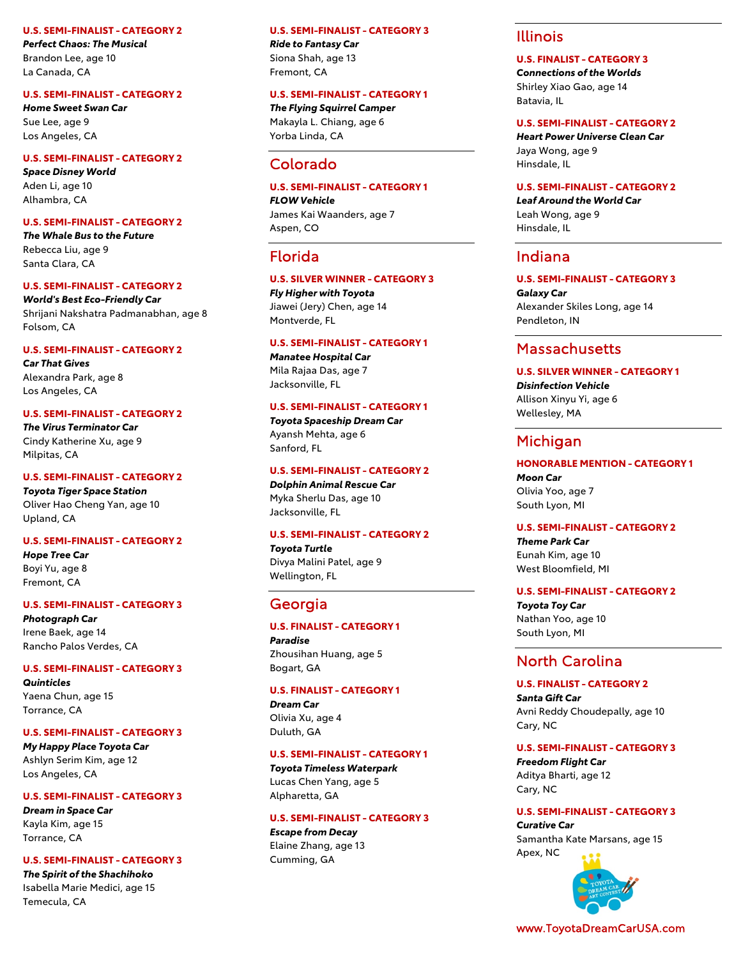#### **U.S. SEMI -FINALIST - CATEGORY 2**

*Perfect Chaos: The Musical* Brandon Lee, age 10 La Canada, CA

#### **U.S. SEMI -FINALIST - CATEGORY 2**

*Home Sweet Swan Car* Sue Lee, age 9 Los Angeles, CA

**U.S. SEMI -FINALIST - CATEGORY 2**

*Space Disney World* Aden Li, age 10 Alhambra, CA

#### **U.S. SEMI -FINALIST - CATEGORY 2**

*The Whale Bus to the Future* Rebecca Liu, age 9 Santa Clara, CA

#### **U.S. SEMI -FINALIST - CATEGORY 2**

*World's Best Eco -Friendly Car* Shrijani Nakshatra Padmanabhan, age 8 Folsom, CA

#### **U.S. SEMI -FINALIST - CATEGORY 2**

*Car That Gives* Alexandra Park, age 8 Los Angeles, CA

#### **U.S. SEMI -FINALIST - CATEGORY 2**

*The Virus Terminator Car* Cindy Katherine Xu, age 9 Milpitas, CA

#### **U.S. SEMI -FINALIST - CATEGORY 2**

*Toyota Tiger Space Station* Oliver Hao Cheng Yan, age 10 Upland, CA

#### **U.S. SEMI -FINALIST - CATEGORY 2**

*Hope Tree Car* Boyi Yu, age 8 Fremont, CA

#### **U.S. SEMI -FINALIST - CATEGORY 3**

*Photograph Car* Irene Baek, age 14 Rancho Palos Verdes, CA

#### **U.S. SEMI -FINALIST - CATEGORY 3**

*Quinticles* Yaena Chun, age 15 Torrance, CA

#### **U.S. SEMI -FINALIST - CATEGORY 3**

*My Happy Place Toyota Car* Ashlyn Serim Kim, age 12 Los Angeles, CA

## **U.S. SEMI -FINALIST - CATEGORY 3**

*Dream in Space Car* Kayla Kim, age 15 Torrance, CA

#### **U.S. SEMI -FINALIST - CATEGORY 3**

*The Spirit of the Shachihoko* Isabella Marie Medici, age 15 Temecula, CA

### **U.S. SEMI -FINALIST - CATEGORY 3**

*Ride to Fantasy Car* Siona Shah, age 13 Fremont, CA

#### **U.S. SEMI -FINALIST - CATEGORY 1**

*The Flying Squirrel Camper* Makayla L. Chiang, age 6 Yorba Linda, CA

## Colorado

### **U.S. SEMI -FINALIST - CATEGORY 1**

*FLOW Vehicle* James Kai Waanders, age 7 Aspen, CO

### Florida

### **U.S. SILVER WINNER - CATEGORY 3**

*Fly Higher with Toyota* Jiawei (Jery) Chen, age 14 Montverde, FL

#### **U.S. SEMI -FINALIST - CATEGORY 1**

*Manatee Hospital Car* Mila Rajaa Das, age 7 Jacksonville, FL

#### **U.S. SEMI -FINALIST - CATEGORY 1**

*Toyota Spaceship Dream Car* Ayansh Mehta, age 6 Sanford, FL

#### **U.S. SEMI -FINALIST - CATEGORY 2**

*Dolphin Animal Rescue Car* Myka Sherlu Das, age 10 Jacksonville, FL

#### **U.S. SEMI -FINALIST - CATEGORY 2**

*Toyota Turtle* Divya Malini Patel, age 9 Wellington, FL

## Georgia

### **U.S. FINALIST - CATEGORY 1**

*Paradise* Zhousihan Huang, age 5 Bogart, GA

#### **U.S. FINALIST - CATEGORY 1**

*Dream Car* Olivia Xu, age 4 Duluth, GA

#### **U.S. SEMI -FINALIST - CATEGORY 1**

*Toyota Timeless Waterpark* Lucas Chen Yang, age 5 Alpharetta, GA

#### **U.S. SEMI -FINALIST - CATEGORY 3**

*Escape from Decay* Elaine Zhang, age 13 Cumming, GA

## Illinois

## **U.S. FINALIST - CATEGORY 3**

*Connections of the Worlds* Shirley Xiao Gao, age 14 Batavia, IL

#### **U.S. SEMI -FINALIST - CATEGORY 2**

*Heart Power Universe Clean Car* Jaya Wong, age 9 Hinsdale, IL

#### **U.S. SEMI -FINALIST - CATEGORY 2**

*Leaf Around the World Car* Leah Wong, age 9 Hinsdale, IL

### Indiana

**U.S. SEMI -FINALIST - CATEGORY 3** *Galaxy Car* Alexander Skiles Long, age 14 Pendleton, IN

## Massachusetts

## **U.S. SILVER WINNER - CATEGORY 1** *Disinfection Vehicle*

Allison Xinyu Yi, age 6 Wellesley, MA

## Michigan

## **HONORABLE MENTION - CATEGORY 1**

*Moon Car* Olivia Yoo, age 7 South Lyon, MI

#### **U.S. SEMI -FINALIST - CATEGORY 2**

*Theme Park Car* Eunah Kim, age 10 West Bloomfield, MI

#### **U.S. SEMI -FINALIST - CATEGORY 2**

*Toyota Toy Car* Nathan Yoo, age 10 South Lyon, MI

## North Carolina

**U.S. FINALIST - CATEGORY 2** *Santa Gift Car* Avni Reddy Choudepally, age 10 Cary, NC

#### **U.S. SEMI -FINALIST - CATEGORY 3**

*Freedom Flight Car* Aditya Bharti, age 12 Cary, NC

#### **U.S. SEMI -FINALIST - CATEGORY 3**

*Curative Car* Samantha Kate Marsans, age 15 Apex, NC



www.ToyotaDreamCarUSA.com